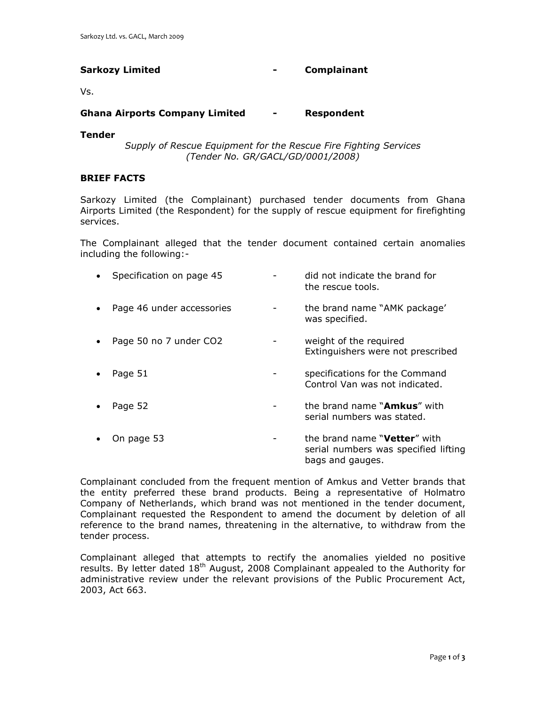# **Sarkozy Limited - Complainant**

Vs.

## **Ghana Airports Company Limited - Respondent**

#### **Tender**

*Supply of Rescue Equipment for the Rescue Fire Fighting Services (Tender No. GR/GACL/GD/0001/2008)*

## **BRIEF FACTS**

Sarkozy Limited (the Complainant) purchased tender documents from Ghana Airports Limited (the Respondent) for the supply of rescue equipment for firefighting services.

The Complainant alleged that the tender document contained certain anomalies including the following:-

| Specification on page 45  | did not indicate the brand for<br>the rescue tools.                                               |
|---------------------------|---------------------------------------------------------------------------------------------------|
| Page 46 under accessories | the brand name "AMK package"<br>was specified.                                                    |
| Page 50 no 7 under CO2    | weight of the required<br>Extinguishers were not prescribed                                       |
| Page 51                   | specifications for the Command<br>Control Van was not indicated.                                  |
| Page 52                   | the brand name " <b>Amkus</b> " with<br>serial numbers was stated.                                |
| On page 53                | the brand name " <b>Vetter</b> " with<br>serial numbers was specified lifting<br>bags and gauges. |

Complainant concluded from the frequent mention of Amkus and Vetter brands that the entity preferred these brand products. Being a representative of Holmatro Company of Netherlands, which brand was not mentioned in the tender document, Complainant requested the Respondent to amend the document by deletion of all reference to the brand names, threatening in the alternative, to withdraw from the tender process.

Complainant alleged that attempts to rectify the anomalies yielded no positive results. By letter dated 18<sup>th</sup> August, 2008 Complainant appealed to the Authority for administrative review under the relevant provisions of the Public Procurement Act, 2003, Act 663.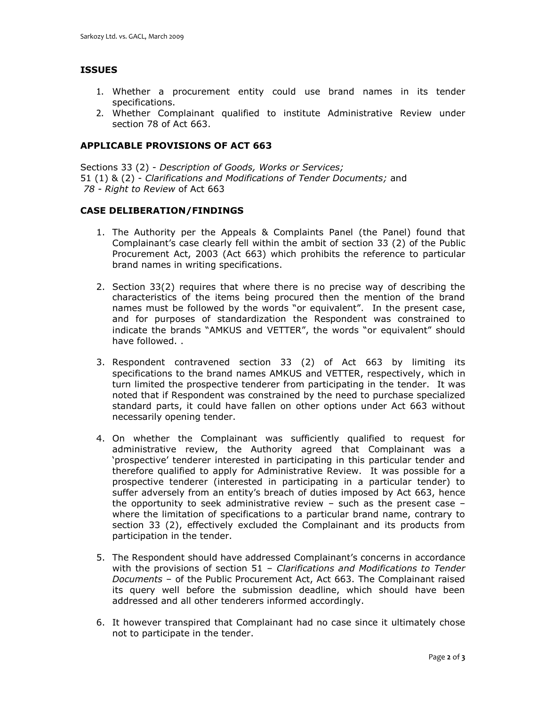## **ISSUES**

- 1. Whether a procurement entity could use brand names in its tender specifications.
- 2. Whether Complainant qualified to institute Administrative Review under section 78 of Act 663.

#### **APPLICABLE PROVISIONS OF ACT 663**

Sections 33 (2) - *Description of Goods, Works or Services;*  51 (1) & (2) - *Clarifications and Modifications of Tender Documents;* and *78 - Right to Review* of Act 663

#### **CASE DELIBERATION/FINDINGS**

- 1. The Authority per the Appeals & Complaints Panel (the Panel) found that Complainant's case clearly fell within the ambit of section 33 (2) of the Public Procurement Act, 2003 (Act 663) which prohibits the reference to particular brand names in writing specifications.
- 2. Section 33(2) requires that where there is no precise way of describing the characteristics of the items being procured then the mention of the brand names must be followed by the words "or equivalent". In the present case, and for purposes of standardization the Respondent was constrained to indicate the brands "AMKUS and VETTER", the words "or equivalent" should have followed. .
- 3. Respondent contravened section 33 (2) of Act 663 by limiting its specifications to the brand names AMKUS and VETTER, respectively, which in turn limited the prospective tenderer from participating in the tender. It was noted that if Respondent was constrained by the need to purchase specialized standard parts, it could have fallen on other options under Act 663 without necessarily opening tender.
- 4. On whether the Complainant was sufficiently qualified to request for administrative review, the Authority agreed that Complainant was a 'prospective' tenderer interested in participating in this particular tender and therefore qualified to apply for Administrative Review. It was possible for a prospective tenderer (interested in participating in a particular tender) to suffer adversely from an entity's breach of duties imposed by Act 663, hence the opportunity to seek administrative review – such as the present case – where the limitation of specifications to a particular brand name, contrary to section 33 (2), effectively excluded the Complainant and its products from participation in the tender.
- 5. The Respondent should have addressed Complainant's concerns in accordance with the provisions of section 51 – *Clarifications and Modifications to Tender Documents* – of the Public Procurement Act, Act 663. The Complainant raised its query well before the submission deadline, which should have been addressed and all other tenderers informed accordingly.
- 6. It however transpired that Complainant had no case since it ultimately chose not to participate in the tender.